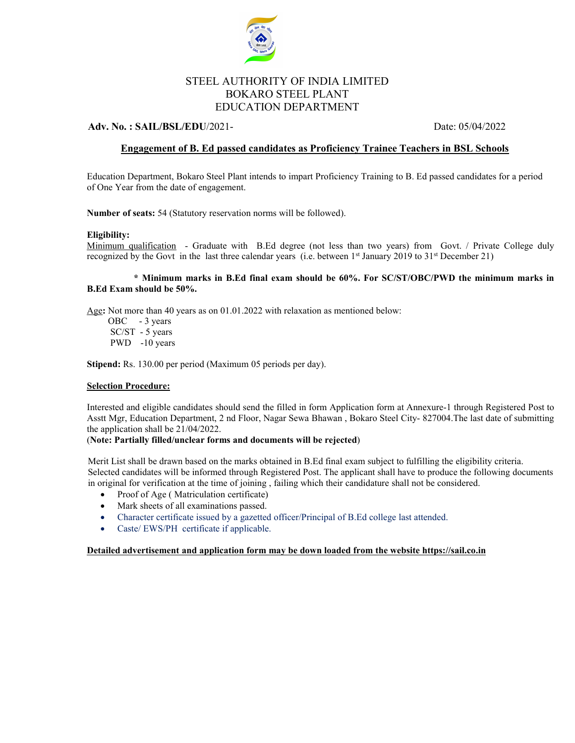

# STEEL AUTHORITY OF INDIA LIMITED BOKARO STEEL PLANT EDUCATION DEPARTMENT

# **Adv. No. : SAIL/BSL/EDU**/2021- Date: 05/04/2022

# **Engagement of B. Ed passed candidates as Proficiency Trainee Teachers in BSL Schools**

Education Department, Bokaro Steel Plant intends to impart Proficiency Training to B. Ed passed candidates for a period of One Year from the date of engagement.

**Number of seats:** 54 (Statutory reservation norms will be followed).

### **Eligibility:**

Minimum qualification - Graduate with B.Ed degree (not less than two years) from Govt. / Private College duly recognized by the Govt in the last three calendar years (i.e. between 1<sup>st</sup> January 2019 to 31<sup>st</sup> December 21)

### **\* Minimum marks in B.Ed final exam should be 60%. For SC/ST/OBC/PWD the minimum marks in B.Ed Exam should be 50%.**

Age**:** Not more than 40 years as on 01.01.2022 with relaxation as mentioned below:

OBC - 3 years SC/ST - 5 years PWD -10 years

**Stipend:** Rs. 130.00 per period (Maximum 05 periods per day).

#### **Selection Procedure:**

Interested and eligible candidates should send the filled in form Application form at Annexure-1 through Registered Post to Asstt Mgr, Education Department, 2 nd Floor, Nagar Sewa Bhawan , Bokaro Steel City- 827004.The last date of submitting the application shall be 21/04/2022.

#### (**Note: Partially filled/unclear forms and documents will be rejected**)

Merit List shall be drawn based on the marks obtained in B.Ed final exam subject to fulfilling the eligibility criteria. Selected candidates will be informed through Registered Post. The applicant shall have to produce the following documents in original for verification at the time of joining , failing which their candidature shall not be considered.

- Proof of Age (Matriculation certificate)
- Mark sheets of all examinations passed.
- Character certificate issued by a gazetted officer/Principal of B.Ed college last attended.
- Caste/ EWS/PH certificate if applicable.

**Detailed advertisement and application form may be down loaded from the website https://sail.co.in**